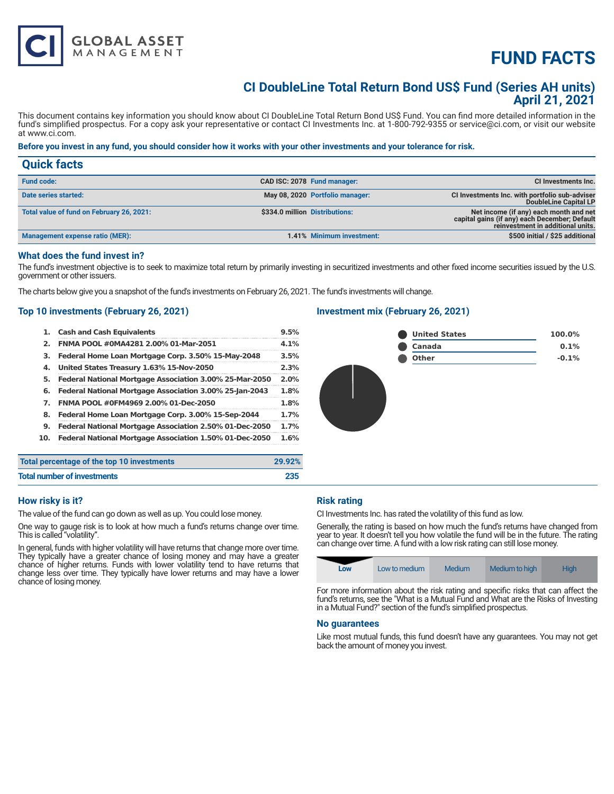# **FUND FACTS**

## **CI DoubleLine Total Return Bond US\$ Fund (Series AH units) April 21, 2021**

This document contains key information you should know about CI DoubleLine Total Return Bond US\$ Fund. You can find more detailed information in the fund's simplified prospectus. For a copy ask your representative or contact CI Investments Inc. at 1-800-792-9355 or service@ci.com, or visit our website at www.ci.com.

### **Before you invest in any fund, you should consider how it works with your other investments and your tolerance for risk.**

| <b>Quick facts</b>                        |                                 |                                                                                                                              |
|-------------------------------------------|---------------------------------|------------------------------------------------------------------------------------------------------------------------------|
| <b>Fund code:</b>                         | CAD ISC: 2078 Fund manager:     | CI Investments Inc.                                                                                                          |
| Date series started:                      | May 08, 2020 Portfolio manager: | CI Investments Inc. with portfolio sub-adviser<br>DoubleLine Capital LP                                                      |
| Total value of fund on February 26, 2021: | \$334.0 million Distributions:  | Net income (if any) each month and net<br>capital gains (if any) each December; Default<br>reinvestment in additional units. |
| Management expense ratio (MER):           | 1.41% Minimum investment:       | \$500 initial / \$25 additional                                                                                              |

#### **What does the fund invest in?**

The fund's investment objective is to seek to maximize total return by primarily investing in securitized investments and other fixed income securities issued by the U.S. government or other issuers.

The charts below give you a snapshot of the fund's investments on February 26, 2021. The fund's investments will change.

### **Top 10 investments (February 26, 2021)**

**GLOBAL ASSET**<br>MANAGEMENT

| 1.  | <b>Cash and Cash Equivalents</b>                        | 9.5% |
|-----|---------------------------------------------------------|------|
| 2.  | FNMA POOL #0MA4281 2.00% 01-Mar-2051                    | 4.1% |
| з.  | Federal Home Loan Mortgage Corp. 3.50% 15-May-2048      | 3.5% |
| 4.  | United States Treasury 1.63% 15-Nov-2050                | 2.3% |
| 5.  | Federal National Mortgage Association 3.00% 25-Mar-2050 | 2.0% |
| 6.  | Federal National Mortgage Association 3.00% 25-Jan-2043 | 1.8% |
| 7.  | FNMA POOL #0FM4969 2.00% 01-Dec-2050                    | 1.8% |
| 8.  | Federal Home Loan Mortgage Corp. 3.00% 15-Sep-2044      | 1.7% |
| 9.  | Federal National Mortgage Association 2.50% 01-Dec-2050 | 1.7% |
| 10. | Federal National Mortgage Association 1.50% 01-Dec-2050 | 1.6% |
|     |                                                         |      |

### **Investment mix (February 26, 2021)**



| Total percentage of the top 10 investments | 29.92% |
|--------------------------------------------|--------|
| <b>Total number of investments</b>         | 235    |

#### **How risky is it?**

The value of the fund can go down as well as up. You could lose money.

One way to gauge risk is to look at how much a fund's returns change over time. This is called "volatility".

In general, funds with higher volatility will have returns that change more over time. They typically have a greater chance of losing money and may have a greater chance of higher returns. Funds with lower volatility tend to have returns that change less over time. They typically have lower returns and may have a lower chance of losing money.

#### **Risk rating**

CI Investments Inc. has rated the volatility of this fund as low.

Generally, the rating is based on how much the fund's returns have changed from year to year. It doesn't tell you how volatile the fund will be in the future. The rating can change over time. A fund with a low risk rating can still lose money.

| Low | Low to medium | Medium | Medium to high | High |
|-----|---------------|--------|----------------|------|
|     |               |        |                |      |

For more information about the risk rating and specific risks that can affect the fund's returns, see the "What is a Mutual Fund and What are the Risks of Investing in a Mutual Fund?" section of the fund's simplified prospectus.

#### **No guarantees**

Like most mutual funds, this fund doesn't have any guarantees. You may not get back the amount of money you invest.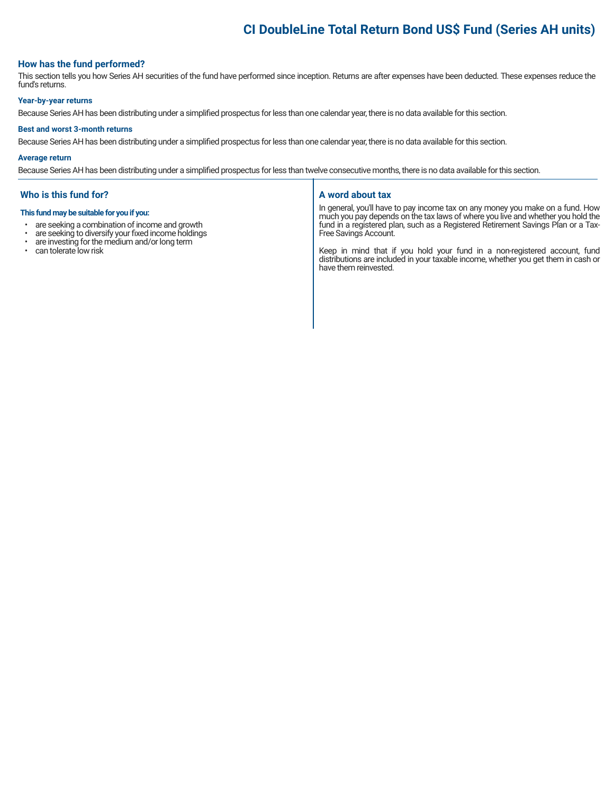# **CI DoubleLine Total Return Bond US\$ Fund (Series AH units)**

#### **How has the fund performed?**

This section tells you how Series AH securities of the fund have performed since inception. Returns are after expenses have been deducted. These expenses reduce the fund's returns.

#### **Year-by-year returns**

Because Series AH has been distributing under a simplified prospectus for less than one calendar year, there is no data available for this section.

#### **Best and worst 3-month returns**

Because Series AH has been distributing under a simplified prospectus for less than one calendar year, there is no data available for this section.

#### **Average return**

Because Series AH has been distributing under a simplified prospectus for less than twelve consecutive months, there is no data available for this section.

#### **Who is this fund for?**

#### **This fund may be suitable for you if you:**

- are seeking a combination of income and growth<br>• are seeking to diversify your fixed income holding
- are seeking to diversify your fixed income holdings<br>• are investing for the medium and/or long term
- are investing for the medium and/or long term
- can tolerate low risk

#### **A word about tax**

In general, you'll have to pay income tax on any money you make on a fund. How much you pay depends on the tax laws of where you live and whether you hold the fund in a registered plan, such as a Registered Retirement Savings Plan or a Tax-Free Savings Account.

Keep in mind that if you hold your fund in a non-registered account, fund distributions are included in your taxable income, whether you get them in cash or have them reinvested.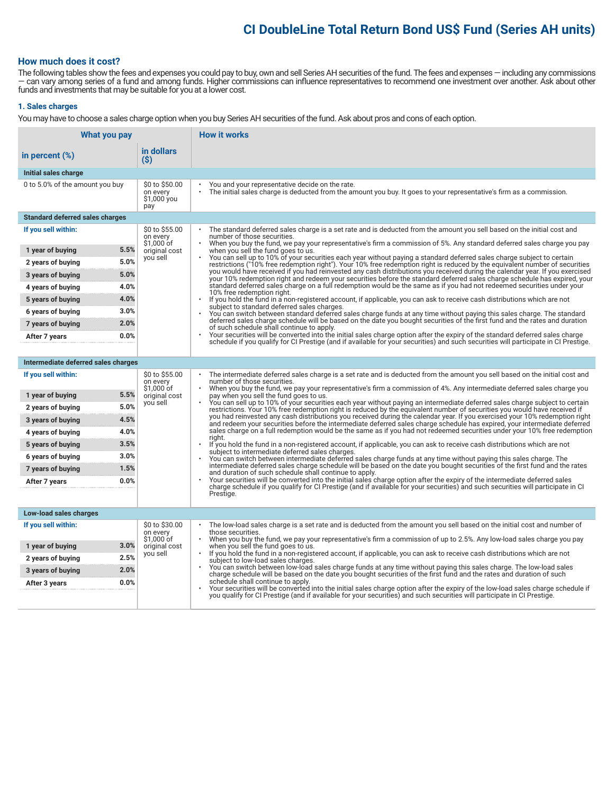# **CI DoubleLine Total Return Bond US\$ Fund (Series AH units)**

### **How much does it cost?**

The following tables show the fees and expenses you could pay to buy, own and sell Series AH securities of the fund. The fees and expenses — including any commissions — can vary among series of a fund and among funds. Higher commissions can influence representatives to recommend one investment over another. Ask about other funds and investments that may be suitable for you at a lower cost.

#### **1. Sales charges**

You may have to choose a sales charge option when you buy Series AH securities of the fund. Ask about pros and cons of each option.

| What you pay                           |                                                  | <b>How it works</b>                                                                                                                                                                                                                                                                            |
|----------------------------------------|--------------------------------------------------|------------------------------------------------------------------------------------------------------------------------------------------------------------------------------------------------------------------------------------------------------------------------------------------------|
| in percent $(\%)$                      | in dollars<br>$($ \$)                            |                                                                                                                                                                                                                                                                                                |
| Initial sales charge                   |                                                  |                                                                                                                                                                                                                                                                                                |
| 0 to 5.0% of the amount you buy        | \$0 to \$50.00<br>on every<br>\$1,000 you<br>pay | You and your representative decide on the rate.<br>The initial sales charge is deducted from the amount you buy. It goes to your representative's firm as a commission.                                                                                                                        |
| <b>Standard deferred sales charges</b> |                                                  |                                                                                                                                                                                                                                                                                                |
| If you sell within:                    | \$0 to \$55.00<br>on every<br>$$1,000$ of        | The standard deferred sales charge is a set rate and is deducted from the amount you sell based on the initial cost and<br>number of those securities.<br>When you buy the fund, we pay your representative's firm a commission of 5%. Any standard deferred sales charge you pay<br>$\bullet$ |
| 5.5%<br>1 year of buying               | original cost<br>you sell                        | when you sell the fund goes to us.<br>You can sell up to 10% of your securities each year without paying a standard deferred sales charge subject to certain                                                                                                                                   |
| 5.0%<br>2 years of buying              |                                                  | restrictions ("10% free redemption right"). Your 10% free redemption right is reduced by the equivalent number of securities<br>you would have received if you had reinvested any cash distributions you received during the calendar year. If you exercised                                   |
| 5.0%<br>3 years of buying              |                                                  | your 10% redemption right and redeem your securities before the standard deferred sales charge schedule has expired, your                                                                                                                                                                      |
| 4.0%<br>4 years of buying              |                                                  | standard deferred sales charge on a full redemption would be the same as if you had not redeemed securities under your<br>10% free redemption right.                                                                                                                                           |
| 4.0%<br>5 years of buying              |                                                  | If you hold the fund in a non-registered account, if applicable, you can ask to receive cash distributions which are not<br>$\bullet$<br>subject to standard deferred sales charges.                                                                                                           |
| 3.0%<br>6 years of buying              |                                                  | You can switch between standard deferred sales charge funds at any time without paying this sales charge. The standard<br>deferred sales charge schedule will be based on the date you bought securities of the first fund and the rates and duration                                          |
| 2.0%<br>7 years of buying              |                                                  | of such schedule shall continue to apply.                                                                                                                                                                                                                                                      |
| 0.0%<br>After 7 years                  |                                                  | Your securities will be converted into the initial sales charge option after the expiry of the standard deferred sales charge<br>schedule if you qualify for CI Prestige (and if available for your securities) and such securities will participate in CI Prestige.                           |
|                                        |                                                  |                                                                                                                                                                                                                                                                                                |
| Intermediate deferred sales charges    |                                                  |                                                                                                                                                                                                                                                                                                |
| If you sell within:                    | \$0 to \$55.00<br>on every<br>$$1,000$ of        | The intermediate deferred sales charge is a set rate and is deducted from the amount you sell based on the initial cost and<br>number of those securities.<br>When you buy the fund, we pay your representative's firm a commission of 4%. Any intermediate deferred sales charge you          |
| 5.5%<br>1 year of buying               | original cost<br>you sell                        | pay when you sell the fund goes to us.<br>You can sell up to 10% of your securities each year without paying an intermediate deferred sales charge subject to certain                                                                                                                          |
| 5.0%<br>2 years of buying              |                                                  | restrictions. Your 10% free redemption right is reduced by the equivalent number of securities you would have received if<br>you had reinvested any cash distributions you received during the calendar year. If you exercised your 10% redemption right                                       |
| 4.5%<br>3 years of buying              |                                                  | and redeem your securities before the intermediate deferred sales charge schedule has expired, your intermediate deferred                                                                                                                                                                      |
| 4.0%<br>4 years of buying              |                                                  | sales charge on a full redemption would be the same as if you had not redeemed securities under your 10% free redemption<br>riaht.                                                                                                                                                             |
| 3.5%<br>5 years of buying              |                                                  | If you hold the fund in a non-registered account, if applicable, you can ask to receive cash distributions which are not<br>subject to intermediate deferred sales charges.                                                                                                                    |
| 3.0%<br>6 years of buying              |                                                  | You can switch between intermediate deferred sales charge funds at any time without paying this sales charge. The<br>intermediate deferred sales charge schedule will be based on the date you bought securities of the first fund and the rates                                               |
| 1.5%<br>7 years of buying              |                                                  | and duration of such schedule shall continue to apply.                                                                                                                                                                                                                                         |
| 0.0%<br>After 7 years                  |                                                  | Your securities will be converted into the initial sales charge option after the expiry of the intermediate deferred sales<br>charge schedule if you qualify for CI Prestige (and if available for your securities) and such securities will participate in CI                                 |
|                                        |                                                  | Prestige.                                                                                                                                                                                                                                                                                      |
| Low-load sales charges                 |                                                  |                                                                                                                                                                                                                                                                                                |
| If you sell within:                    | \$0 to \$30.00<br>on every<br>$$1,000$ of        | The low-load sales charge is a set rate and is deducted from the amount you sell based on the initial cost and number of<br>those securities.<br>$\cdot$                                                                                                                                       |
| 3.0%<br>1 year of buying               | original cost                                    | When you buy the fund, we pay your representative's firm a commission of up to 2.5%. Any low-load sales charge you pay<br>when you sell the fund goes to us.                                                                                                                                   |
| 2.5%<br>2 years of buying              | you sell                                         | If you hold the fund in a non-registered account, if applicable, you can ask to receive cash distributions which are not<br>subject to low-load sales charges.                                                                                                                                 |
| 2.0%<br>3 years of buying              |                                                  | You can switch between low-load sales charge funds at any time without paying this sales charge. The low-load sales<br>charge schedule will be based on the date you bought securities of the first fund and the rates and duration of such                                                    |
| 0.0%<br>After 3 years                  |                                                  | schedule shall continue to apply.<br>Your securities will be converted into the initial sales charge option after the expiry of the low-load sales charge schedule if                                                                                                                          |
|                                        |                                                  | you qualify for CI Prestige (and if available for your securities) and such securities will participate in CI Prestige.                                                                                                                                                                        |